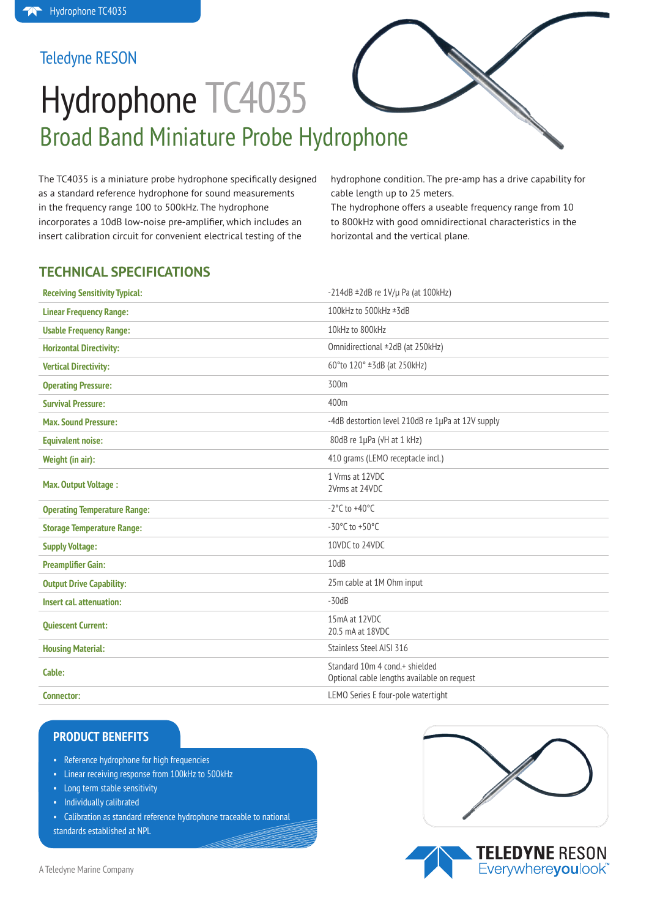#### Teledyne RESON

## Hydrophone TC4035 Broad Band Miniature Probe Hydrophone

The TC4035 is a miniature probe hydrophone specifically designed as a standard reference hydrophone for sound measurements in the frequency range 100 to 500kHz. The hydrophone incorporates a 10dB low-noise pre-amplifier, which includes an insert calibration circuit for convenient electrical testing of the

hydrophone condition. The pre-amp has a drive capability for cable length up to 25 meters.

The hydrophone offers a useable frequency range from 10 to 800kHz with good omnidirectional characteristics in the horizontal and the vertical plane.

#### **TECHNICAL SPECIFICATIONS**

| <b>Receiving Sensitivity Typical:</b> | $-214dB \pm 2dB$ re $1V/\mu$ Pa (at 100kHz)       |
|---------------------------------------|---------------------------------------------------|
| <b>Linear Frequency Range:</b>        | 100kHz to 500kHz ±3dB                             |
| <b>Usable Frequency Range:</b>        | 10kHz to 800kHz                                   |
| <b>Horizontal Directivity:</b>        | Omnidirectional ±2dB (at 250kHz)                  |
| <b>Vertical Directivity:</b>          | 60°to 120° ±3dB (at 250kHz)                       |
| <b>Operating Pressure:</b>            | 300m                                              |
| <b>Survival Pressure:</b>             | 400m                                              |
| <b>Max. Sound Pressure:</b>           | -4dB destortion level 210dB re 1µPa at 12V supply |
| <b>Equivalent noise:</b>              | 80dB re 1µPa (VH at 1 kHz)                        |
| Weight (in air):                      | 410 grams (LEMO receptacle incl.)                 |
| <b>Max. Output Voltage:</b>           | 1 Vrms at 12VDC<br>2Vrms at 24VDC                 |
| <b>Operating Temperature Range:</b>   | $-2$ °C to $+40$ °C                               |
| <b>Storage Temperature Range:</b>     | $-30^{\circ}$ C to $+50^{\circ}$ C                |
| <b>Supply Voltage:</b>                | 10VDC to 24VDC                                    |
| <b>Preamplifier Gain:</b>             | 10dB                                              |
| <b>Output Drive Capability:</b>       | 25m cable at 1M Ohm input                         |
| Insert cal. attenuation:              | $-30dB$                                           |
| <b>Quiescent Current:</b>             | 15mA at 12VDC<br>20.5 mA at 18VDC                 |
| <b>Housing Material:</b>              | Stainless Steel AISI 316                          |
| Cable:                                | Standard 10m 4 cond.+ shielded                    |
|                                       | Optional cable lengths available on request       |

#### **PRODUCT BENEFITS**

- • Reference hydrophone for high frequencies
- Linear receiving response from 100kHz to 500kHz
- **Long term stable sensitivity**
- Individually calibrated
- Calibration as standard reference hydrophone traceable to national standards established at NPL



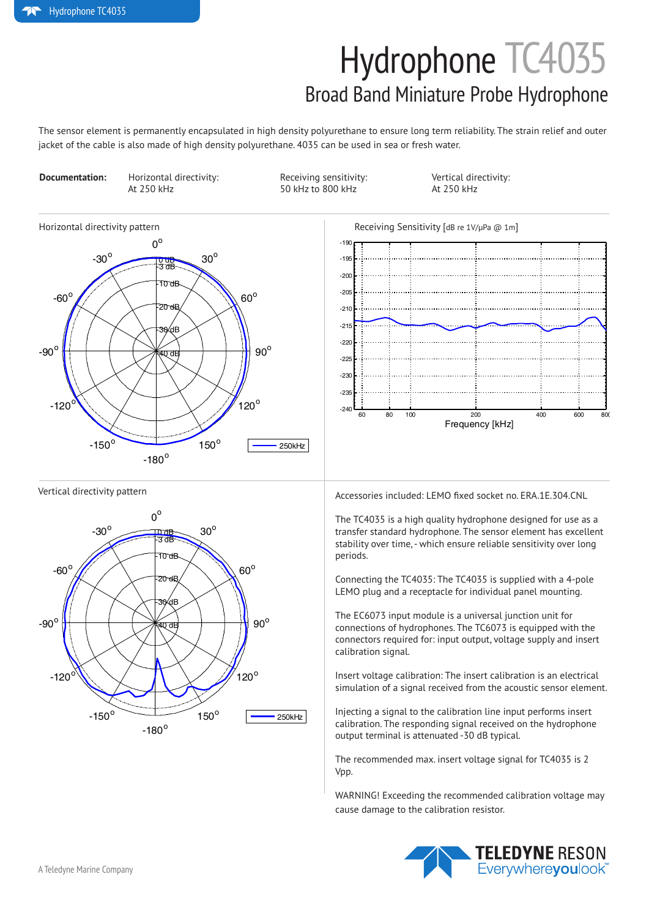## Hydrophone TC4035 Broad Band Miniature Probe Hydrophone

The sensor element is permanently encapsulated in high density polyurethane to ensure long term reliability. The strain relief and outer jacket of the cable is also made of high density polyurethane. 4035 can be used in sea or fresh water.



At 250 kHz 50 kHz to 800 kHz At 250 kHz

 $-235$  $-23$  $-225$  $-22$  $-215$  $-21$  $-20$  $-20$  $-19$  $-19$ 



Vertical directivity pattern



Accessories included: LEMO fixed socket no. ERA.1E.304.CNL

-240 60 80 100 200 400 600 800

Frequency [kHz]

The TC4035 is a high quality hydrophone designed for use as a transfer standard hydrophone. The sensor element has excellent stability over time, - which ensure reliable sensitivity over long periods.

Connecting the TC4035: The TC4035 is supplied with a 4-pole LEMO plug and a receptacle for individual panel mounting.

The EC6073 input module is a universal junction unit for connections of hydrophones. The TC6073 is equipped with the connectors required for: input output, voltage supply and insert calibration signal.

Insert voltage calibration: The insert calibration is an electrical simulation of a signal received from the acoustic sensor element.

Injecting a signal to the calibration line input performs insert calibration. The responding signal received on the hydrophone output terminal is attenuated -30 dB typical.

The recommended max. insert voltage signal for TC4035 is 2 Vpp.

WARNING! Exceeding the recommended calibration voltage may cause damage to the calibration resistor.